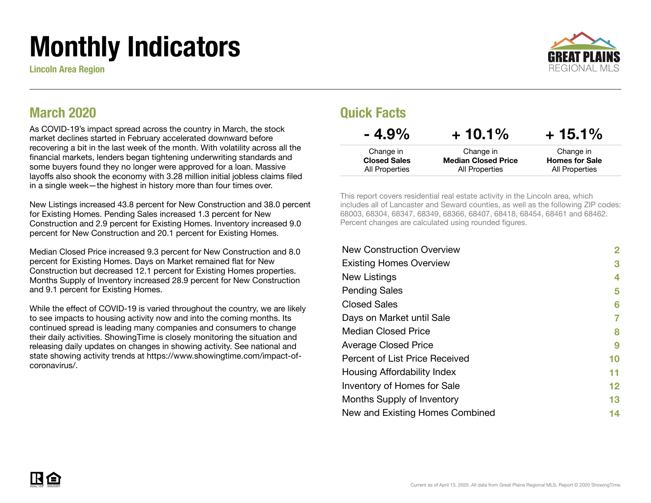# Monthly Indicators

Lincoln Area Region



#### March 2020

As COVID-19's impact spread across the country in March, the stock market declines started in February accelerated downward before recovering a bit in the last week of the month. With volatility across all the financial markets, lenders began tightening underwriting standards and some buyers found they no longer were approved for a loan. Massive layoffs also shook the economy with 3.28 million initial jobless claims filed in a single week—the highest in history more than four times over.

New Listings increased 43.8 percent for New Construction and 38.0 percent for Existing Homes. Pending Sales increased 1.3 percent for New Construction and 2.9 percent for Existing Homes. Inventory increased 9.0 percent for New Construction and 20.1 percent for Existing Homes.

Median Closed Price increased 9.3 percent for New Construction and 8.0 percent for Existing Homes. Days on Market remained flat for New Construction but decreased 12.1 percent for Existing Homes properties. Months Supply of Inventory increased 28.9 percent for New Construction and 9.1 percent for Existing Homes.

While the effect of COVID-19 is varied throughout the country, we are likely to see impacts to housing activity now and into the coming months. Its continued spread is leading many companies and consumers to change their daily activities. ShowingTime is closely monitoring the situation and releasing daily updates on changes in showing activity. See national and state showing activity trends at https://www.showingtime.com/impact-ofcoronavirus/.

#### Quick Facts

| $-4.9\%$            | $+10.1\%$                  | $+15.1\%$             |
|---------------------|----------------------------|-----------------------|
| Change in           | Change in                  | Change in             |
| <b>Closed Sales</b> | <b>Median Closed Price</b> | <b>Homes for Sale</b> |
| All Properties      | All Properties             | All Properties        |

This report covers residential real estate activity in the Lincoln area, which includes all of Lancaster and Seward counties, as well as the following ZIP codes: 68003, 68304, 68347, 68349, 68366, 68407, 68418, 68454, 68461 and 68462. Percent changes are calculated using rounded figures.

| <b>New Construction Overview</b> | 2  |
|----------------------------------|----|
| <b>Existing Homes Overview</b>   | 3  |
| New Listings                     | 4  |
| <b>Pending Sales</b>             | 5  |
| <b>Closed Sales</b>              | 6  |
| Days on Market until Sale        | 7  |
| <b>Median Closed Price</b>       | 8  |
| <b>Average Closed Price</b>      | 9  |
| Percent of List Price Received   | 10 |
| Housing Affordability Index      | 11 |
| Inventory of Homes for Sale      | 12 |
| Months Supply of Inventory       | 13 |
| New and Existing Homes Combined  | 14 |
|                                  |    |

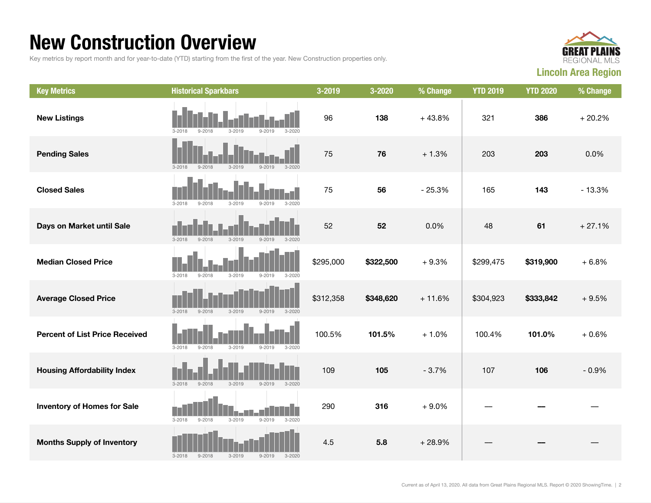#### New Construction Overview

Key metrics by report month and for year-to-date (YTD) starting from the first of the year. New Construction properties only.



| <b>Key Metrics</b>                    | <b>Historical Sparkbars</b>                                        | 3-2019    | 3-2020    | % Change | <b>YTD 2019</b> | <b>YTD 2020</b> | % Change |
|---------------------------------------|--------------------------------------------------------------------|-----------|-----------|----------|-----------------|-----------------|----------|
| <b>New Listings</b>                   | $3 - 2019$<br>$9 - 2019$<br>$3 - 2020$<br>$3 - 2018$<br>$9 - 2018$ | 96        | 138       | $+43.8%$ | 321             | 386             | $+20.2%$ |
| <b>Pending Sales</b>                  | $3 - 2019$<br>$3 - 2020$<br>$3 - 2018$<br>$9 - 2018$<br>$9 - 2019$ | 75        | 76        | $+1.3%$  | 203             | 203             | 0.0%     |
| <b>Closed Sales</b>                   | $9 - 2019$<br>$3 - 2020$<br>$3 - 2018$<br>$9 - 2018$<br>$3 - 2019$ | 75        | 56        | $-25.3%$ | 165             | 143             | $-13.3%$ |
| Days on Market until Sale             | $3 - 2019$<br>$3 - 2018$<br>$9 - 2018$<br>$9 - 2019$<br>$3 - 2020$ | 52        | 52        | 0.0%     | 48              | 61              | $+27.1%$ |
| <b>Median Closed Price</b>            | $3 - 2018$<br>$9 - 2018$<br>$3 - 2019$<br>$9 - 2019$<br>$3 - 2020$ | \$295,000 | \$322,500 | $+9.3%$  | \$299,475       | \$319,900       | $+6.8%$  |
| <b>Average Closed Price</b>           | $3 - 2018$<br>$3 - 2019$<br>$9 - 2019$<br>$3 - 2020$<br>$9 - 2018$ | \$312,358 | \$348,620 | $+11.6%$ | \$304,923       | \$333,842       | $+9.5%$  |
| <b>Percent of List Price Received</b> | $3 - 2018$<br>$9 - 2018$<br>$3 - 2019$<br>$9 - 2019$<br>$3 - 2020$ | 100.5%    | 101.5%    | $+1.0%$  | 100.4%          | 101.0%          | $+0.6%$  |
| <b>Housing Affordability Index</b>    | $9 - 2018$<br>$3 - 2019$<br>$3 - 2018$<br>$9 - 2019$<br>$3 - 2020$ | 109       | 105       | $-3.7%$  | 107             | 106             | $-0.9%$  |
| <b>Inventory of Homes for Sale</b>    | $3 - 2018$<br>$9 - 2018$<br>$3 - 2019$<br>$9 - 2019$<br>$3 - 2020$ | 290       | 316       | $+9.0%$  |                 |                 |          |
| <b>Months Supply of Inventory</b>     | $3 - 2018$<br>$9 - 2018$<br>$3 - 2019$<br>$9 - 2019$<br>$3 - 2020$ | 4.5       | 5.8       | $+28.9%$ |                 |                 |          |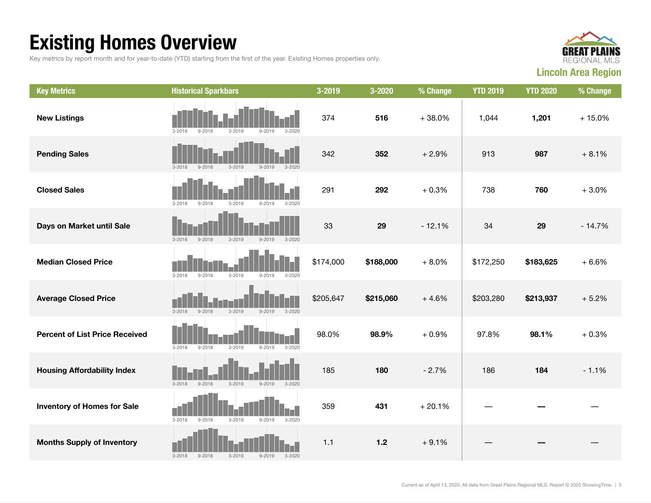## Existing Homes Overview

Key metrics by report month and for year-to-date (YTD) starting from the first of the year. Existing Homes properties only.



| <b>Key Metrics</b>                    | <b>Historical Sparkbars</b>                                        | 3-2019    | 3-2020    | % Change | <b>YTD 2019</b> | <b>YTD 2020</b> | % Change |
|---------------------------------------|--------------------------------------------------------------------|-----------|-----------|----------|-----------------|-----------------|----------|
| <b>New Listings</b>                   | $3 - 2018$<br>$9 - 2018$<br>$3 - 2019$<br>$9 - 2019$<br>$3 - 2020$ | 374       | 516       | $+38.0%$ | 1,044           | 1,201           | $+15.0%$ |
| <b>Pending Sales</b>                  | $3 - 2018$<br>$9 - 2018$<br>$3 - 2019$<br>$3 - 2020$<br>$9 - 2019$ | 342       | 352       | $+2.9%$  | 913             | 987             | $+8.1%$  |
| <b>Closed Sales</b>                   | $3 - 2018$<br>$9 - 2018$<br>$3 - 2019$<br>$9 - 2019$<br>$3 - 2020$ | 291       | 292       | $+0.3%$  | 738             | 760             | $+3.0%$  |
| Days on Market until Sale             | $3 - 2018$<br>$9 - 2018$<br>$3 - 2019$<br>$9 - 2019$<br>$3 - 2020$ | 33        | 29        | $-12.1%$ | 34              | 29              | $-14.7%$ |
| <b>Median Closed Price</b>            | $3 - 2018$<br>$9 - 2018$<br>$3 - 2019$<br>$9 - 2019$<br>$3 - 2020$ | \$174,000 | \$188,000 | $+8.0%$  | \$172,250       | \$183,625       | $+6.6%$  |
| <b>Average Closed Price</b>           | $3 - 2018$<br>$9 - 2018$<br>$3 - 2019$<br>$9 - 2019$<br>$3 - 2020$ | \$205,647 | \$215,060 | $+4.6%$  | \$203,280       | \$213,937       | $+5.2%$  |
| <b>Percent of List Price Received</b> | $3 - 2018$<br>$9 - 2018$<br>$3 - 2019$<br>$9 - 2019$<br>$3 - 2020$ | 98.0%     | 98.9%     | $+0.9%$  | 97.8%           | 98.1%           | $+0.3%$  |
| <b>Housing Affordability Index</b>    | $3 - 2018$<br>$9 - 2018$<br>$3 - 2019$<br>$9 - 2019$<br>$3 - 2020$ | 185       | 180       | $-2.7%$  | 186             | 184             | $-1.1%$  |
| <b>Inventory of Homes for Sale</b>    | $3 - 2018$<br>$9 - 2018$<br>$3 - 2019$<br>$9 - 2019$<br>$3 - 2020$ | 359       | 431       | $+20.1%$ |                 |                 |          |
| <b>Months Supply of Inventory</b>     | $3 - 2018$<br>$9 - 2018$<br>$3 - 2019$<br>$9 - 2019$<br>$3 - 2020$ | 1.1       | $1.2$     | $+9.1%$  |                 |                 |          |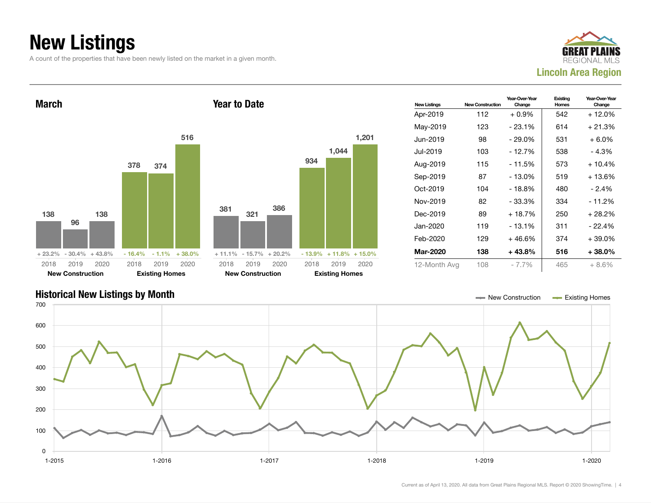## New Listings

A count of the properties that have been newly listed on the market in a given month.





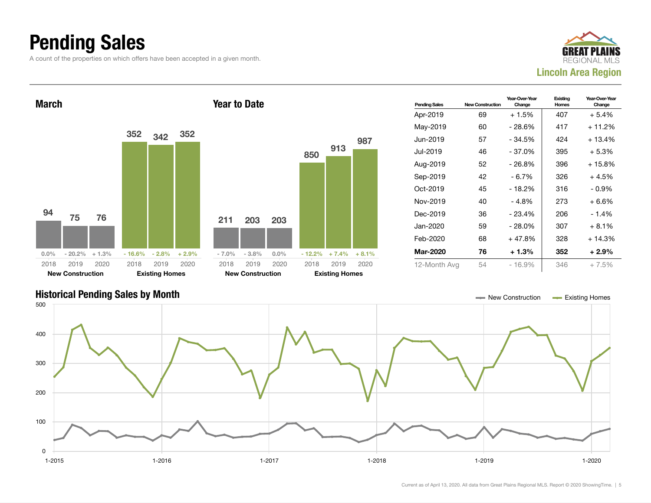#### Pending Sales

A count of the properties on which offers have been accepted in a given month.





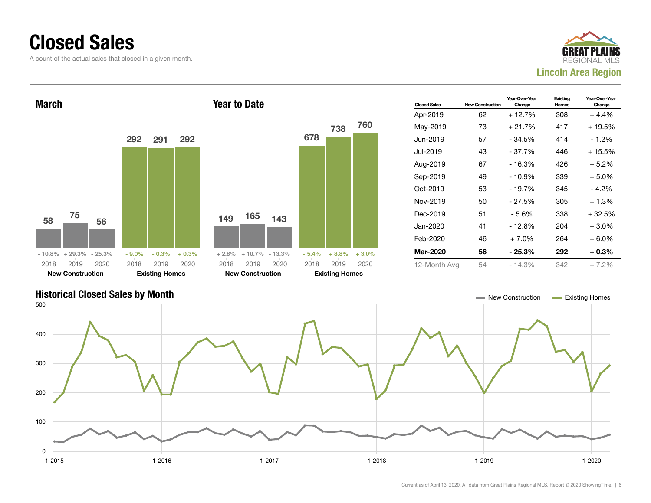#### Closed Sales

A count of the actual sales that closed in a given month.





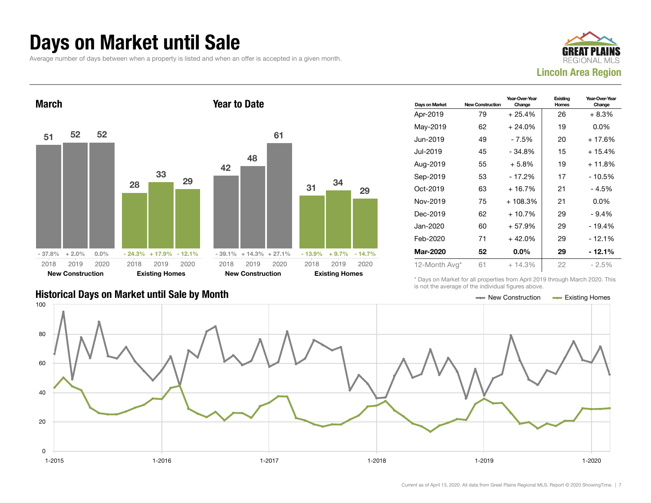#### Days on Market until Sale

Average number of days between when a property is listed and when an offer is accepted in a given month.





| Days on Market | <b>New Construction</b> | Year-Over-Year<br>Change | Existing<br>Homes | Year-Over-Year<br>Change |
|----------------|-------------------------|--------------------------|-------------------|--------------------------|
| Apr-2019       | 79                      | $+25.4%$                 | 26                | + 8.3%                   |
| May-2019       | 62                      | $+24.0%$                 | 19                | $0.0\%$                  |
| Jun-2019       | 49                      | - 7.5%                   | 20                | $+17.6%$                 |
| Jul-2019.      | 45                      | - 34.8%                  | 15                | $+15.4%$                 |
| Aug-2019       | 55                      | $+5.8\%$                 | 19                | $+11.8%$                 |
| Sep-2019       | 53                      | $-17.2%$                 | 17                | - 10.5%                  |
| $Oct-2019$     | 63                      | $+16.7%$                 | 21                | $-4.5%$                  |
| Nov-2019       | 75                      | $+108.3%$                | 21                | $0.0\%$                  |
| Dec-2019       | 62                      | $+10.7%$                 | 29                | - 9.4%                   |
| Jan-2020       | 60                      | $+57.9%$                 | 29                | - 19.4%                  |
| Feb-2020       | 71                      | $+42.0%$                 | 29                | $-12.1%$                 |
| Mar-2020       | 52                      | $0.0\%$                  | 29                | - 12.1%                  |
| 12-Month Avg*  | 61                      | $+14.3%$                 | 22                | $-2.5%$                  |

Historical Days on Market until Sale by Month New York New York New York New Construction Access Existing Homes

\* Days on Market for all properties from April 2019 through March 2020. This is not the average of the individual figures above.

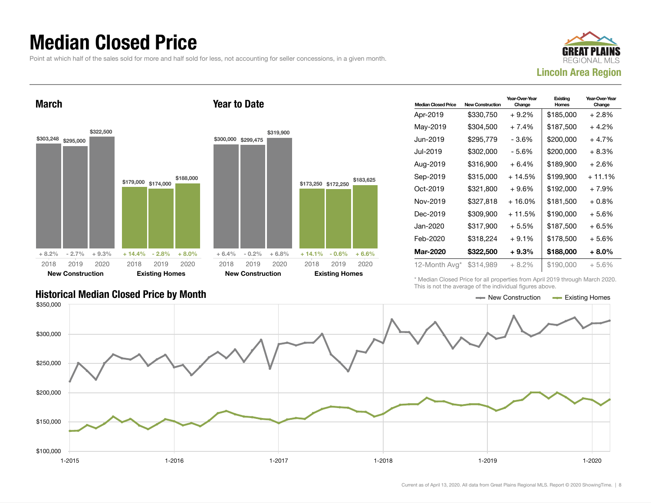#### Median Closed Price

Point at which half of the sales sold for more and half sold for less, not accounting for seller concessions, in a given month.



March \$303,248 \$295,000 \$322,500  $+8.2\%$  - 2.7% + 9.3% \$179,000 \$174,000 \$188,000  $+ 14.4\% - 2.8\%$ 2018 New Construction 2019 2020 2018 **Existing Ho** 2019 Year to Date \$300,000 \$299,475 2018 New Construction

| <b>Median Closed Price</b> | <b>New Construction</b> | Year-Over-Year<br>Change | Existing<br>Homes | Year-Over-Year<br>Change |
|----------------------------|-------------------------|--------------------------|-------------------|--------------------------|
| Apr-2019                   | \$330,750               | + 9.2%                   | \$185,000         | + 2.8%                   |
| May-2019                   | \$304,500               | $+7.4%$                  | \$187,500         | + 4.2%                   |
| Jun-2019                   | \$295.779               | - 3.6%                   | \$200,000         | + 4.7%                   |
| Jul-2019                   | \$302,000               | - 5.6%                   | \$200,000         | + 8.3%                   |
| Aug-2019                   | \$316,900               | $+6.4%$                  | \$189,900         | + 2.6%                   |
| Sep-2019                   | \$315,000               | + 14.5%                  | \$199.900         | $+11.1%$                 |
| Oct-2019                   | \$321,800               | $+9.6%$                  | \$192,000         | + 7.9%                   |
| Nov-2019                   | \$327,818               | + 16.0%                  | \$181,500         | $+0.8\%$                 |
| Dec-2019                   | \$309,900               | $+11.5%$                 | \$190,000         | + 5.6%                   |
| Jan-2020                   | \$317,900               | $+5.5%$                  | \$187,500         | + 6.5%                   |
| Feb-2020                   | \$318,224               | $+9.1%$                  | \$178,500         | + 5.6%                   |
| <b>Mar-2020</b>            | \$322,500               | $+9.3%$                  | \$188,000         | + 8.0%                   |
| 12-Month Avg*              | \$314,989               | + 8.2%                   | \$190,000         | $+5.6\%$                 |

\* Median Closed Price for all properties from April 2019 through March 2020. This is not the average of the individual figures above.

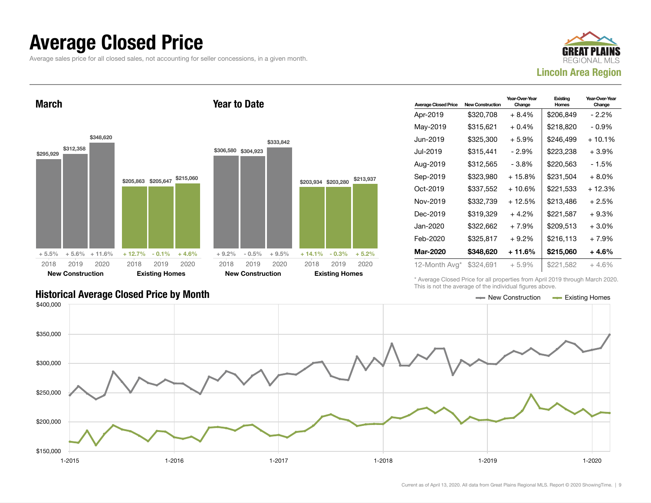#### Average Closed Price

Average sales price for all closed sales, not accounting for seller concessions, in a given month.



March



Year to Date

| <b>Average Closed Price</b> | <b>New Construction</b> | Year-Over-Year<br>Change | Existing<br>Homes | Year-Over-Year<br>Change |
|-----------------------------|-------------------------|--------------------------|-------------------|--------------------------|
| Apr-2019                    | \$320,708               | $+8.4%$                  | \$206,849         | $-2.2\%$                 |
| May-2019                    | \$315,621               | $+0.4%$                  | \$218,820         | $-0.9\%$                 |
| Jun-2019.                   | \$325,300               | $+5.9%$                  | \$246.499         | $+10.1%$                 |
| Jul-2019                    | \$315,441               | $-2.9%$                  | \$223,238         | +3.9%                    |
| Aug-2019                    | \$312,565               | - 3.8%                   | \$220,563         | - 1.5%                   |
| Sep-2019                    | \$323,980               | + 15.8%                  | \$231,504         | $+8.0\%$                 |
| Oct-2019                    | \$337,552               | $+10.6%$                 | \$221.533         | $+12.3%$                 |
| Nov-2019                    | \$332,739               | + 12.5%                  | \$213,486         | $+2.5%$                  |
| Dec-2019                    | \$319,329               | $+4.2%$                  | \$221,587         | + 9.3%                   |
| Jan-2020                    | \$322.662               | $+7.9%$                  | \$209.513         | $+3.0\%$                 |
| Feb-2020                    | \$325,817               | $+9.2\%$                 | \$216,113         | $+7.9%$                  |
| Mar-2020                    | \$348,620               | + 11.6%                  | \$215,060         | + 4.6%                   |
| 12-Month Avg*               | \$324,691               | $+5.9%$                  | \$221,582         | $+4.6%$                  |

Historical Average Closed Price by Month **New Construction Average Closed Price by Month** New Construction **New Construction** 

\* Average Closed Price for all properties from April 2019 through March 2020. This is not the average of the individual figures above.

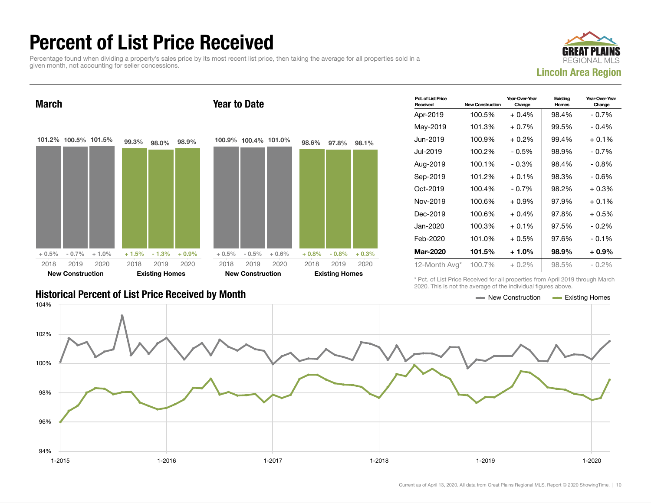#### Percent of List Price Received

Percentage found when dividing a property's sales price by its most recent list price, then taking the average for all properties sold in a given month, not accounting for seller concessions.





| <b>Historical Percent of List Price Received by Month</b> | — New Construction | <b>Existing Homes</b> |
|-----------------------------------------------------------|--------------------|-----------------------|

| Pct. of List Price<br>Received | <b>New Construction</b> | Year-Over-Year<br>Change | Existing<br><b>Homes</b> | Year-Over-Year<br>Change |
|--------------------------------|-------------------------|--------------------------|--------------------------|--------------------------|
| Apr-2019                       | 100.5%                  | $+0.4%$                  | 98.4%                    | $-0.7%$                  |
| May-2019                       | 101.3%                  | + 0.7%                   | 99.5%                    | $-0.4%$                  |
| Jun-2019                       | 100.9%                  | $+0.2\%$                 | 99.4%                    | $+0.1%$                  |
| Jul-2019                       | 100.2%                  | $-0.5%$                  | 98.9%                    | $-0.7%$                  |
| Aug-2019                       | 100.1%                  | - 0.3%                   | 98.4%                    | - 0.8%                   |
| Sep-2019                       | 101.2%                  | $+0.1%$                  | 98.3%                    | $-0.6%$                  |
| Oct-2019                       | 100.4%                  | $-0.7%$                  | 98.2%                    | $+0.3%$                  |
| Nov-2019                       | 100.6%                  | + 0.9%                   | 97.9%                    | $+0.1%$                  |
| Dec-2019                       | 100.6%                  | $+0.4%$                  | 97.8%                    | + 0.5%                   |
| Jan-2020                       | 100.3%                  | $+0.1%$                  | 97.5%                    | $-0.2\%$                 |
| Feb-2020                       | 101.0%                  | + 0.5%                   | 97.6%                    | $-0.1\%$                 |
| Mar-2020                       | 101.5%                  | + 1.0%                   | 98.9%                    | + 0.9%                   |
| 12-Month Avg*                  | 100.7%                  | $+0.2\%$                 | 98.5%                    | $-0.2\%$                 |

\* Pct. of List Price Received for all properties from April 2019 through March 2020. This is not the average of the individual figures above.

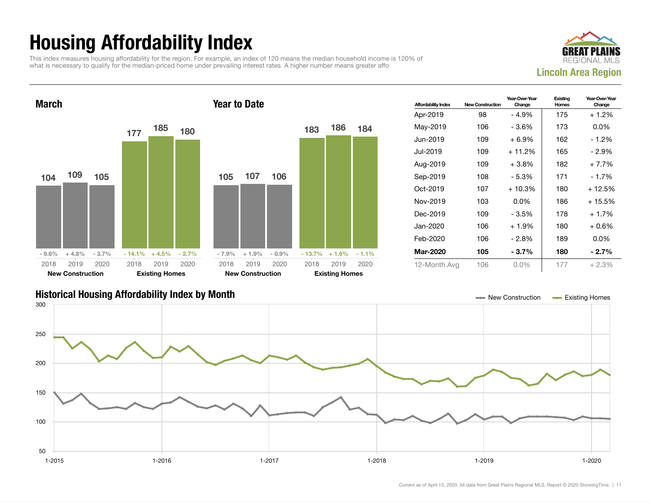## Housing Affordability Index

This index measures housing affordability for the region. For example, an index of 120 means the median household income is 120% of what is necessary to qualify for the median-priced home under prevailing interest rates. A higher number means greater affo





| <b>Affordability Index</b> | <b>New Construction</b> | Year-Over-Year<br>Change | Existing<br>Homes | Year-Over-Year<br>Change |
|----------------------------|-------------------------|--------------------------|-------------------|--------------------------|
| Apr-2019                   | 98                      | - 4.9%                   | 175               | $+1.2%$                  |
| May-2019                   | 106                     | - 3.6%                   | 173               | $0.0\%$                  |
| Jun-2019                   | 109                     | $+6.9\%$                 | 162               | - 1.2%                   |
| Jul-2019                   | 109                     | $+11.2%$                 | 165               | - 2.9%                   |
| Aug-2019                   | 109                     | $+3.8\%$                 | 182               | $+7.7%$                  |
| Sep-2019                   | 108                     | - 5.3%                   | 171               | - 1.7%                   |
| Oct-2019                   | 107                     | $+10.3%$                 | 180               | + 12.5%                  |
| Nov-2019                   | 103                     | $0.0\%$                  | 186               | + 15.5%                  |
| Dec-2019                   | 109                     | - 3.5%                   | 178               | $+1.7%$                  |
| Jan-2020                   | 106                     | $+1.9%$                  | 180               | $+0.6%$                  |
| Feb-2020                   | 106                     | - 2.8%                   | 189               | $0.0\%$                  |
| <b>Mar-2020</b>            | 105                     | - 3.7%                   | 180               | $-2.7\%$                 |
| 12-Month Avg               | 106                     | $0.0\%$                  | 177               | $+2.3%$                  |

#### Historical Housing Affordability Index by Month New Construction Existing Homes

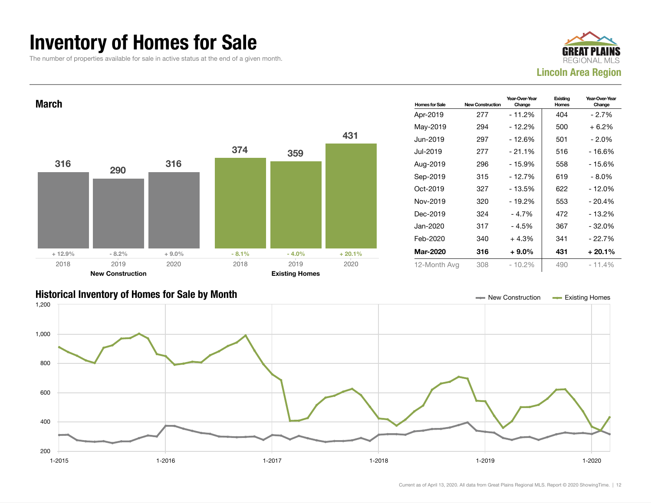#### Inventory of Homes for Sale

The number of properties available for sale in active status at the end of a given month.





#### Historical Inventory of Homes for Sale by Month New Construction Existing Homes

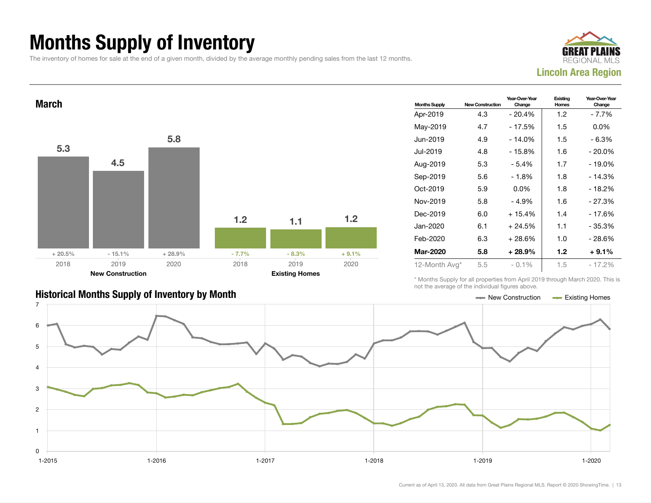## Months Supply of Inventory

The inventory of homes for sale at the end of a given month, divided by the average monthly pending sales from the last 12 months.





| <b>Months Supply</b> | <b>New Construction</b> | Year-Over-Year<br>Change | Existina<br>Homes | Year-Over-Year<br>Change |
|----------------------|-------------------------|--------------------------|-------------------|--------------------------|
| Apr-2019             | 4.3                     | $-20.4%$                 | 1.2               | - 7.7%                   |
| May-2019             | 4.7                     | $-17.5%$                 | 1.5               | $0.0\%$                  |
| Jun-2019             | 4.9                     | $-14.0%$                 | 1.5               | - 6.3%                   |
| Jul-2019             | 4.8                     | $-15.8%$                 | 1.6               | $-20.0\%$                |
| Aug-2019             | 5.3                     | - 5.4%                   | 1.7               | $-19.0%$                 |
| Sep-2019             | 5.6                     | - 1.8%                   | 1.8               | $-14.3%$                 |
| Oct-2019             | 5.9                     | $0.0\%$                  | 1.8               | - 18.2%                  |
| Nov-2019             | 5.8                     | $-4.9%$                  | 1.6               | $-27.3%$                 |
| Dec-2019             | 6.0                     | $+15.4%$                 | 1.4               | - 17.6%                  |
| Jan-2020             | 6.1                     | $+24.5%$                 | 1.1               | - 35.3%                  |
| Feb-2020             | 6.3                     | $+28.6%$                 | 1.0               | - 28.6%                  |
| <b>Mar-2020</b>      | 5.8                     | $+28.9%$                 | 1.2               | $+9.1%$                  |
| 12-Month Avg*        | 5.5                     | $-0.1\%$                 | 1.5               | - 17.2%                  |

\* Months Supply for all properties from April 2019 through March 2020. This is not the average of the individual figures above.



Current as of April 13, 2020. All data from Great Plains Regional MLS. Report © 2020 ShowingTime. | 13